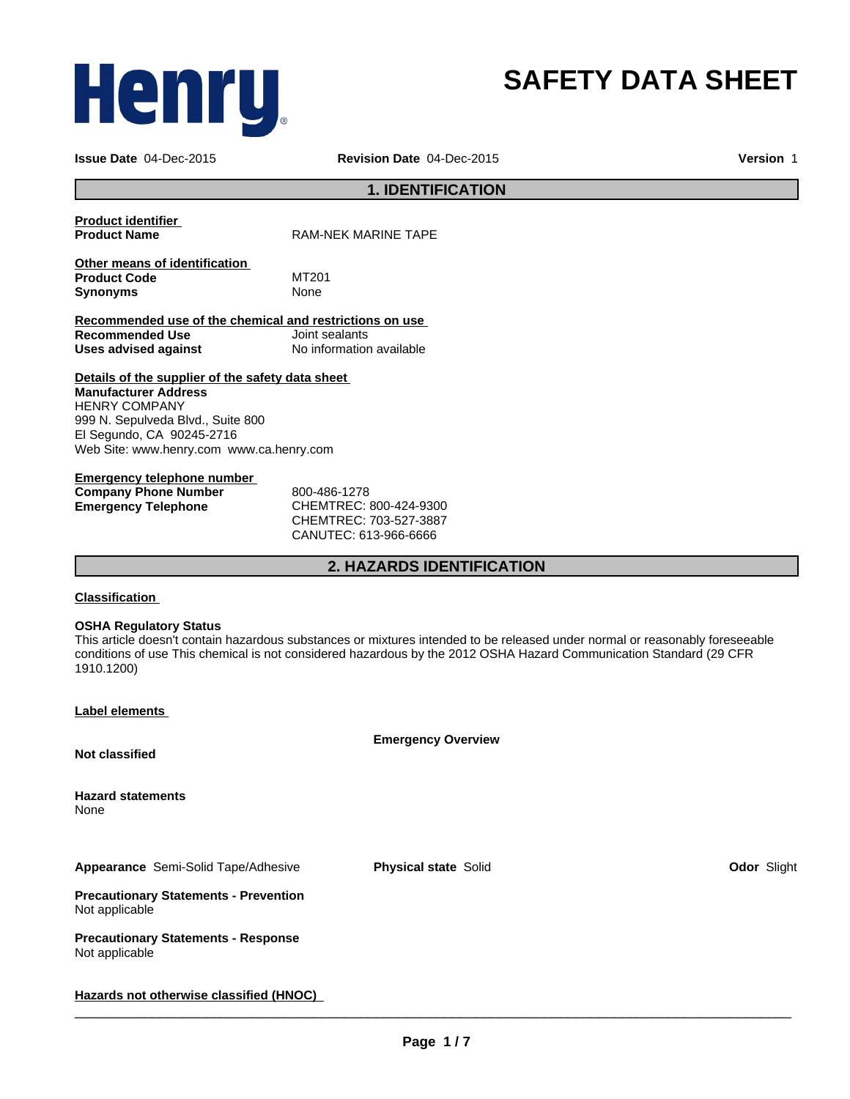# Henry,

## **SAFETY DATA SHEET**

**Issue Date** 04-Dec-2015

**Revision Date** 04-Dec-2015 **Version** 1

#### **1. IDENTIFICATION**

|                     | <b>Product identifier</b> |  |
|---------------------|---------------------------|--|
| <b>Product Name</b> |                           |  |

**RAM-NEK MARINE TAPE** 

**Other means of identification Product Code** MT201 **Synonyms** None

**Recommended use of the chemical and restrictions on use Recommended Use Uses advised against** No information available

**Details of the supplier of the safety data sheet Manufacturer Address** HENRY COMPANY 999 N. Sepulveda Blvd., Suite 800 El Segundo, CA 90245-2716 Web Site: www.henry.com www.ca.henry.com

**Emergency telephone number Company Phone Number** 800-486-1278

**Emergency Telephone** CHEMTREC: 800-424-9300 CHEMTREC: 703-527-3887 CANUTEC: 613-966-6666

**2. HAZARDS IDENTIFICATION**

#### **Classification**

#### **OSHA Regulatory Status**

This article doesn't contain hazardous substances or mixtures intended to be released under normal or reasonably foreseeable conditions of use This chemical is not considered hazardous by the 2012 OSHA Hazard Communication Standard (29 CFR 1910.1200)

| <b>Label elements</b> |
|-----------------------|
|-----------------------|

**Emergency Overview**

**Not classified**

**Hazard statements** None

**Appearance** Semi-Solid Tape/Adhesive **Physical state** Solid **Odor** Slight

**Precautionary Statements - Prevention** Not applicable

**Precautionary Statements - Response** Not applicable

**Hazards not otherwise classified (HNOC)**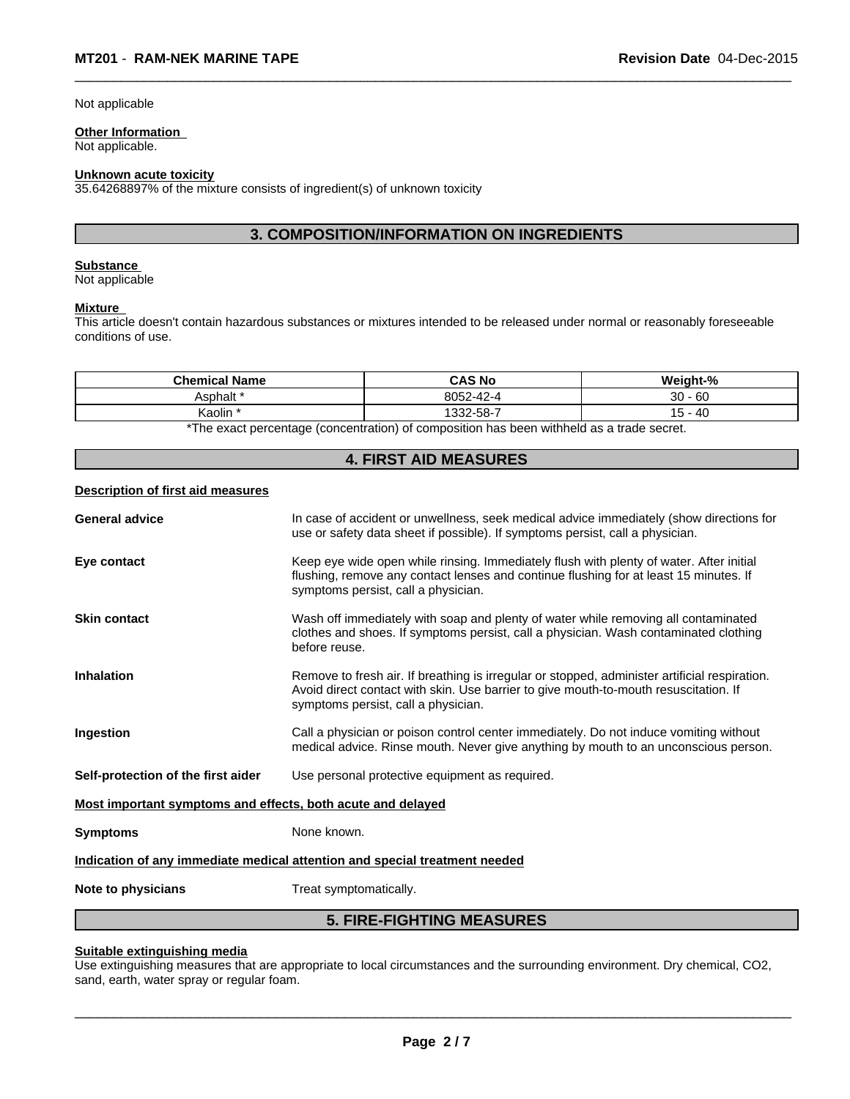Not applicable

#### **Other Information**

Not applicable.

#### **Unknown acute toxicity**

35.64268897% of the mixture consists of ingredient(s) of unknown toxicity

### **3. COMPOSITION/INFORMATION ON INGREDIENTS**

 $\overline{\phantom{a}}$  ,  $\overline{\phantom{a}}$  ,  $\overline{\phantom{a}}$  ,  $\overline{\phantom{a}}$  ,  $\overline{\phantom{a}}$  ,  $\overline{\phantom{a}}$  ,  $\overline{\phantom{a}}$  ,  $\overline{\phantom{a}}$  ,  $\overline{\phantom{a}}$  ,  $\overline{\phantom{a}}$  ,  $\overline{\phantom{a}}$  ,  $\overline{\phantom{a}}$  ,  $\overline{\phantom{a}}$  ,  $\overline{\phantom{a}}$  ,  $\overline{\phantom{a}}$  ,  $\overline{\phantom{a}}$ 

#### **Substance**

Not applicable

#### **Mixture**

This article doesn't contain hazardous substances or mixtures intended to be released under normal or reasonably foreseeable conditions of use.

| <b>Chemical Name</b>                                                                      | <b>CAS No</b> | Weight-%         |  |  |
|-------------------------------------------------------------------------------------------|---------------|------------------|--|--|
| Asphalt <sup>*</sup>                                                                      | 8052-42-4     | 30<br>- 60<br>ັບ |  |  |
| Kaolin                                                                                    | 1332-58-7     | -40              |  |  |
| *The except perceptage (approximation) of approaching has been withheld as a trade accord |               |                  |  |  |

\*The exact percentage (concentration) of composition has been withheld as a trade secret.

|                                                             | <b>4. FIRST AID MEASURES</b>                                                                                                                                                                                                 |
|-------------------------------------------------------------|------------------------------------------------------------------------------------------------------------------------------------------------------------------------------------------------------------------------------|
| Description of first aid measures                           |                                                                                                                                                                                                                              |
| <b>General advice</b>                                       | In case of accident or unwellness, seek medical advice immediately (show directions for<br>use or safety data sheet if possible). If symptoms persist, call a physician.                                                     |
| Eye contact                                                 | Keep eye wide open while rinsing. Immediately flush with plenty of water. After initial<br>flushing, remove any contact lenses and continue flushing for at least 15 minutes. If<br>symptoms persist, call a physician.      |
| <b>Skin contact</b>                                         | Wash off immediately with soap and plenty of water while removing all contaminated<br>clothes and shoes. If symptoms persist, call a physician. Wash contaminated clothing<br>before reuse.                                  |
| <b>Inhalation</b>                                           | Remove to fresh air. If breathing is irregular or stopped, administer artificial respiration.<br>Avoid direct contact with skin. Use barrier to give mouth-to-mouth resuscitation. If<br>symptoms persist, call a physician. |
| Ingestion                                                   | Call a physician or poison control center immediately. Do not induce vomiting without<br>medical advice. Rinse mouth. Never give anything by mouth to an unconscious person.                                                 |
| Self-protection of the first aider                          | Use personal protective equipment as required.                                                                                                                                                                               |
| Most important symptoms and effects, both acute and delayed |                                                                                                                                                                                                                              |
| <b>Symptoms</b>                                             | None known.                                                                                                                                                                                                                  |
|                                                             | Indication of any immediate medical attention and special treatment needed                                                                                                                                                   |
| Note to physicians                                          | Treat symptomatically.                                                                                                                                                                                                       |
|                                                             | <b>5. FIRE-FIGHTING MEASURES</b>                                                                                                                                                                                             |

#### **Suitable extinguishing media**

Use extinguishing measures that are appropriate to local circumstances and the surrounding environment. Dry chemical, CO2, sand, earth, water spray or regular foam.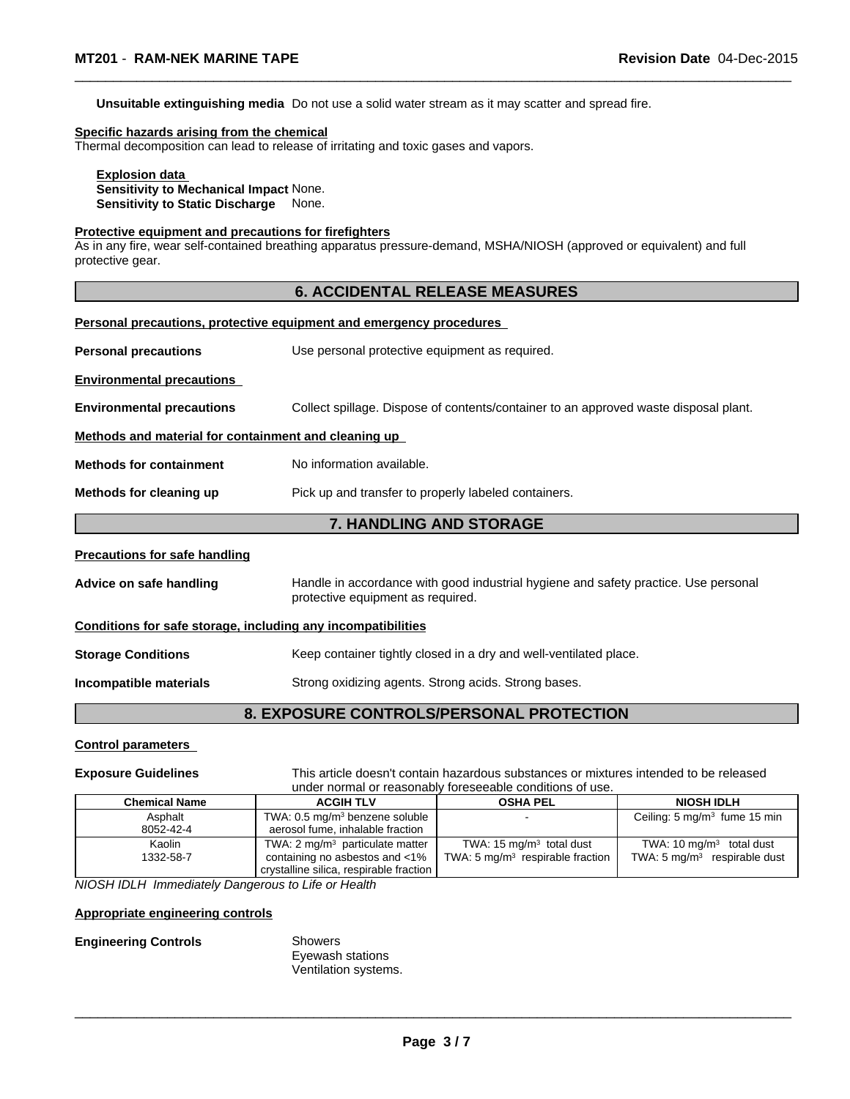**Unsuitable extinguishing media** Do not use a solid water stream as it may scatter and spread fire.

#### **Specific hazards arising from the chemical**

Thermal decomposition can lead to release of irritating and toxic gases and vapors.

**Explosion data Sensitivity to Mechanical Impact** None. **Sensitivity to Static Discharge** None.

#### **Protective equipment and precautions for firefighters**

As in any fire, wear self-contained breathing apparatus pressure-demand, MSHA/NIOSH (approved or equivalent) and full protective gear.

 $\overline{\phantom{a}}$  ,  $\overline{\phantom{a}}$  ,  $\overline{\phantom{a}}$  ,  $\overline{\phantom{a}}$  ,  $\overline{\phantom{a}}$  ,  $\overline{\phantom{a}}$  ,  $\overline{\phantom{a}}$  ,  $\overline{\phantom{a}}$  ,  $\overline{\phantom{a}}$  ,  $\overline{\phantom{a}}$  ,  $\overline{\phantom{a}}$  ,  $\overline{\phantom{a}}$  ,  $\overline{\phantom{a}}$  ,  $\overline{\phantom{a}}$  ,  $\overline{\phantom{a}}$  ,  $\overline{\phantom{a}}$ 

|                                                              | <b>6. ACCIDENTAL RELEASE MEASURES</b>                                                                                    |
|--------------------------------------------------------------|--------------------------------------------------------------------------------------------------------------------------|
|                                                              | Personal precautions, protective equipment and emergency procedures                                                      |
| <b>Personal precautions</b>                                  | Use personal protective equipment as required.                                                                           |
| <b>Environmental precautions</b>                             |                                                                                                                          |
| <b>Environmental precautions</b>                             | Collect spillage. Dispose of contents/container to an approved waste disposal plant.                                     |
| Methods and material for containment and cleaning up         |                                                                                                                          |
| <b>Methods for containment</b>                               | No information available.                                                                                                |
| Methods for cleaning up                                      | Pick up and transfer to properly labeled containers.                                                                     |
|                                                              | 7. HANDLING AND STORAGE                                                                                                  |
| <b>Precautions for safe handling</b>                         |                                                                                                                          |
| Advice on safe handling                                      | Handle in accordance with good industrial hygiene and safety practice. Use personal<br>protective equipment as required. |
| Conditions for safe storage, including any incompatibilities |                                                                                                                          |
| <b>Storage Conditions</b>                                    | Keep container tightly closed in a dry and well-ventilated place.                                                        |
| Incompatible materials                                       | Strong oxidizing agents. Strong acids. Strong bases.                                                                     |
|                                                              | <b>8. EXPOSURE CONTROLS/PERSONAL PROTECTION</b>                                                                          |

#### **Control parameters**

**Exposure Guidelines** This article doesn't contain hazardous substances or mixtures intended to be released under normal or reasonably foreseeable conditions of use.

 $\overline{\phantom{a}}$  ,  $\overline{\phantom{a}}$  ,  $\overline{\phantom{a}}$  ,  $\overline{\phantom{a}}$  ,  $\overline{\phantom{a}}$  ,  $\overline{\phantom{a}}$  ,  $\overline{\phantom{a}}$  ,  $\overline{\phantom{a}}$  ,  $\overline{\phantom{a}}$  ,  $\overline{\phantom{a}}$  ,  $\overline{\phantom{a}}$  ,  $\overline{\phantom{a}}$  ,  $\overline{\phantom{a}}$  ,  $\overline{\phantom{a}}$  ,  $\overline{\phantom{a}}$  ,  $\overline{\phantom{a}}$ 

| <b>Chemical Name</b> | <b>ACGIH TLV</b>                           | <b>OSHA PEL</b>                     | <b>NIOSH IDLH</b>                       |
|----------------------|--------------------------------------------|-------------------------------------|-----------------------------------------|
| Asphalt              | TWA: $0.5 \text{ mg/m}^3$ benzene soluble  |                                     | Ceiling: $5 \text{ mg/m}^3$ fume 15 min |
| 8052-42-4            | aerosol fume, inhalable fraction           |                                     |                                         |
| Kaolin               | TWA: $2 \text{ mg/m}^3$ particulate matter | TWA: $15 \text{ mg/m}^3$ total dust | TWA: 10 $mq/m3$ total dust              |
| 1332-58-7            | containing no asbestos and <1%             | TWA: 5 $mg/m3$ respirable fraction  | TWA: $5 \text{ mg/m}^3$ respirable dust |
|                      | crystalline silica, respirable fraction    |                                     |                                         |

*NIOSH IDLH Immediately Dangerous to Life or Health*

#### **Appropriate engineering controls**

#### **Engineering Controls** Showers

Eyewash stations Ventilation systems.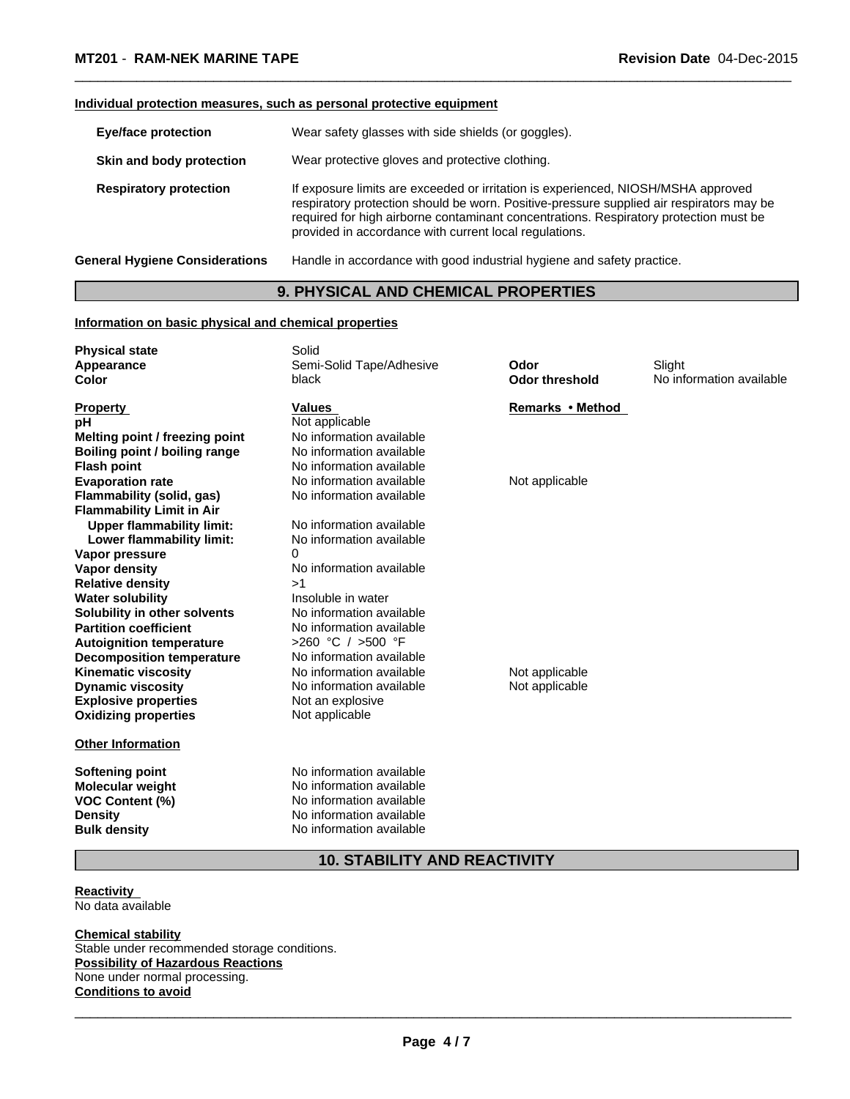#### **Individual protection measures, such as personal protective equipment**

| <b>Eye/face protection</b>            | Wear safety glasses with side shields (or goggles).                                                                                                                                                                                                                                                                              |
|---------------------------------------|----------------------------------------------------------------------------------------------------------------------------------------------------------------------------------------------------------------------------------------------------------------------------------------------------------------------------------|
| Skin and body protection              | Wear protective gloves and protective clothing.                                                                                                                                                                                                                                                                                  |
| <b>Respiratory protection</b>         | If exposure limits are exceeded or irritation is experienced, NIOSH/MSHA approved<br>respiratory protection should be worn. Positive-pressure supplied air respirators may be<br>required for high airborne contaminant concentrations. Respiratory protection must be<br>provided in accordance with current local regulations. |
| <b>General Hygiene Considerations</b> | Handle in accordance with good industrial hygiene and safety practice.                                                                                                                                                                                                                                                           |

 $\overline{\phantom{a}}$  ,  $\overline{\phantom{a}}$  ,  $\overline{\phantom{a}}$  ,  $\overline{\phantom{a}}$  ,  $\overline{\phantom{a}}$  ,  $\overline{\phantom{a}}$  ,  $\overline{\phantom{a}}$  ,  $\overline{\phantom{a}}$  ,  $\overline{\phantom{a}}$  ,  $\overline{\phantom{a}}$  ,  $\overline{\phantom{a}}$  ,  $\overline{\phantom{a}}$  ,  $\overline{\phantom{a}}$  ,  $\overline{\phantom{a}}$  ,  $\overline{\phantom{a}}$  ,  $\overline{\phantom{a}}$ 

#### **9. PHYSICAL AND CHEMICAL PROPERTIES**

#### **Information on basic physical and chemical properties**

| <b>Physical state</b>            | Solid                    |                       |                          |
|----------------------------------|--------------------------|-----------------------|--------------------------|
| Appearance                       | Semi-Solid Tape/Adhesive | Odor                  | Slight                   |
| Color                            | black                    | <b>Odor threshold</b> | No information available |
| <b>Property</b>                  | <b>Values</b>            | Remarks • Method      |                          |
| рH                               | Not applicable           |                       |                          |
| Melting point / freezing point   | No information available |                       |                          |
| Boiling point / boiling range    | No information available |                       |                          |
| <b>Flash point</b>               | No information available |                       |                          |
| <b>Evaporation rate</b>          | No information available | Not applicable        |                          |
| Flammability (solid, gas)        | No information available |                       |                          |
| <b>Flammability Limit in Air</b> |                          |                       |                          |
| <b>Upper flammability limit:</b> | No information available |                       |                          |
| Lower flammability limit:        | No information available |                       |                          |
| Vapor pressure                   | 0                        |                       |                          |
| Vapor density                    | No information available |                       |                          |
| <b>Relative density</b>          | >1                       |                       |                          |
| <b>Water solubility</b>          | Insoluble in water       |                       |                          |
| Solubility in other solvents     | No information available |                       |                          |
| <b>Partition coefficient</b>     | No information available |                       |                          |
| <b>Autoignition temperature</b>  | >260 °C / >500 °F        |                       |                          |
| <b>Decomposition temperature</b> | No information available |                       |                          |
| <b>Kinematic viscosity</b>       | No information available | Not applicable        |                          |
| <b>Dynamic viscosity</b>         | No information available | Not applicable        |                          |
| <b>Explosive properties</b>      | Not an explosive         |                       |                          |
| <b>Oxidizing properties</b>      | Not applicable           |                       |                          |
| <b>Other Information</b>         |                          |                       |                          |
| <b>Softening point</b>           | No information available |                       |                          |
| Molecular weight                 | No information available |                       |                          |
| <b>VOC Content (%)</b>           | No information available |                       |                          |
| <b>Density</b>                   | No information available |                       |                          |
| <b>Bulk density</b>              | No information available |                       |                          |

### **10. STABILITY AND REACTIVITY**

#### **Reactivity**  No data available

**Chemical stability** Stable under recommended storage conditions. **Possibility of Hazardous Reactions** None under normal processing. **Conditions to avoid**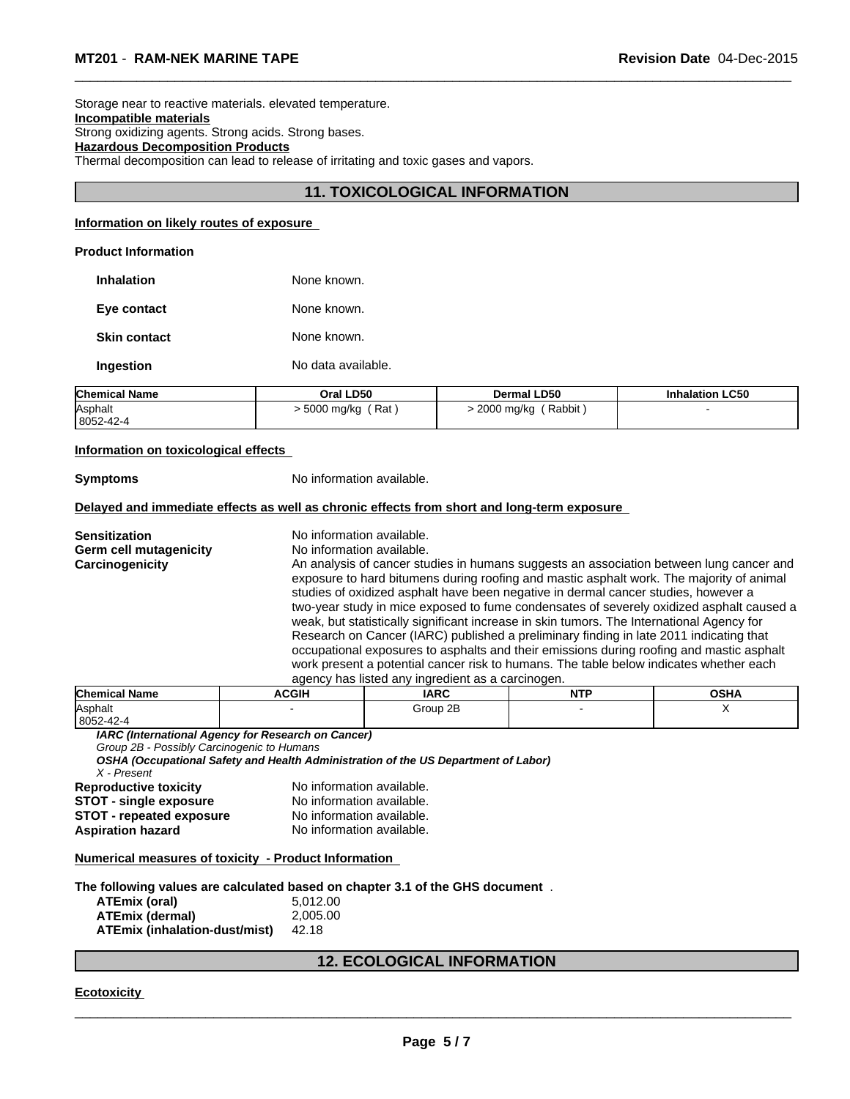Storage near to reactive materials. elevated temperature. **Incompatible materials** Strong oxidizing agents. Strong acids. Strong bases. **Hazardous Decomposition Products** Thermal decomposition can lead to release of irritating and toxic gases and vapors.

#### **11. TOXICOLOGICAL INFORMATION**

 $\overline{\phantom{a}}$  ,  $\overline{\phantom{a}}$  ,  $\overline{\phantom{a}}$  ,  $\overline{\phantom{a}}$  ,  $\overline{\phantom{a}}$  ,  $\overline{\phantom{a}}$  ,  $\overline{\phantom{a}}$  ,  $\overline{\phantom{a}}$  ,  $\overline{\phantom{a}}$  ,  $\overline{\phantom{a}}$  ,  $\overline{\phantom{a}}$  ,  $\overline{\phantom{a}}$  ,  $\overline{\phantom{a}}$  ,  $\overline{\phantom{a}}$  ,  $\overline{\phantom{a}}$  ,  $\overline{\phantom{a}}$ 

#### **Information on likely routes of exposure**

#### **Product Information**

| <b>Inhalation</b>   | None known.        |
|---------------------|--------------------|
| Eye contact         | None known.        |
| <b>Skin contact</b> | None known.        |
| Ingestion           | No data available. |

| <b>Chemical Name</b> | Oral LD50    | <b>Dermal LD50</b> | <b>Inhalation LC50</b> |
|----------------------|--------------|--------------------|------------------------|
| Asphalt              | Rat          | Rabbit             |                        |
| 8052-42-4            | ∙ 5000 mg/kg | 2000 mg/kg         |                        |

#### **Information on toxicological effects**

**Symptoms** No information available.

#### **Delayed and immediate effects as well as chronic effects from short and long-term exposure**

| Sensitization          | No information available.                                                                                                                                                                                                                                                                                                                                                 |
|------------------------|---------------------------------------------------------------------------------------------------------------------------------------------------------------------------------------------------------------------------------------------------------------------------------------------------------------------------------------------------------------------------|
| Germ cell mutagenicity | No information available.                                                                                                                                                                                                                                                                                                                                                 |
| Carcinogenicity        | An analysis of cancer studies in humans suggests an association between lung cancer and<br>exposure to hard bitumens during roofing and mastic asphalt work. The majority of animal<br>studies of oxidized asphalt have been negative in dermal cancer studies, however a<br>two-year study in mice exposed to fume condensates of severely oxidized asphalt caused a     |
|                        | weak, but statistically significant increase in skin tumors. The International Agency for<br>Research on Cancer (IARC) published a preliminary finding in late 2011 indicating that<br>occupational exposures to asphalts and their emissions during roofing and mastic asphalt<br>work present a potential cancer risk to humans. The table below indicates whether each |
|                        | agency has listed any ingredient as a carcinogen.                                                                                                                                                                                                                                                                                                                         |

| <b>Chemical Name</b> | <b>ACGIH</b> | <b>IARC</b> | <b>NITD</b> | <b>OCUA</b><br>UJNA |
|----------------------|--------------|-------------|-------------|---------------------|
| Asphalt              |              | Group 2B    |             |                     |
| 8052-42-4            |              |             |             |                     |

*IARC (International Agency for Research on Cancer)*

*Group 2B - Possibly Carcinogenic to Humans*

*OSHA (Occupational Safety and Health Administration of the US Department of Labor) X - Present*

| Reproductive toxicity           | No information available. |
|---------------------------------|---------------------------|
| <b>STOT - single exposure</b>   | No information available. |
| <b>STOT - repeated exposure</b> | No information available. |
| <b>Aspiration hazard</b>        | No information available. |

#### **Numerical measures of toxicity - Product Information**

#### **The following values are calculated based on chapter 3.1 of the GHS document** .

| ATEmix (oral)                 | 5.012.00 |
|-------------------------------|----------|
| ATEmix (dermal)               | 2.005.00 |
| ATEmix (inhalation-dust/mist) | 42.18    |

#### **12. ECOLOGICAL INFORMATION**

#### **Ecotoxicity**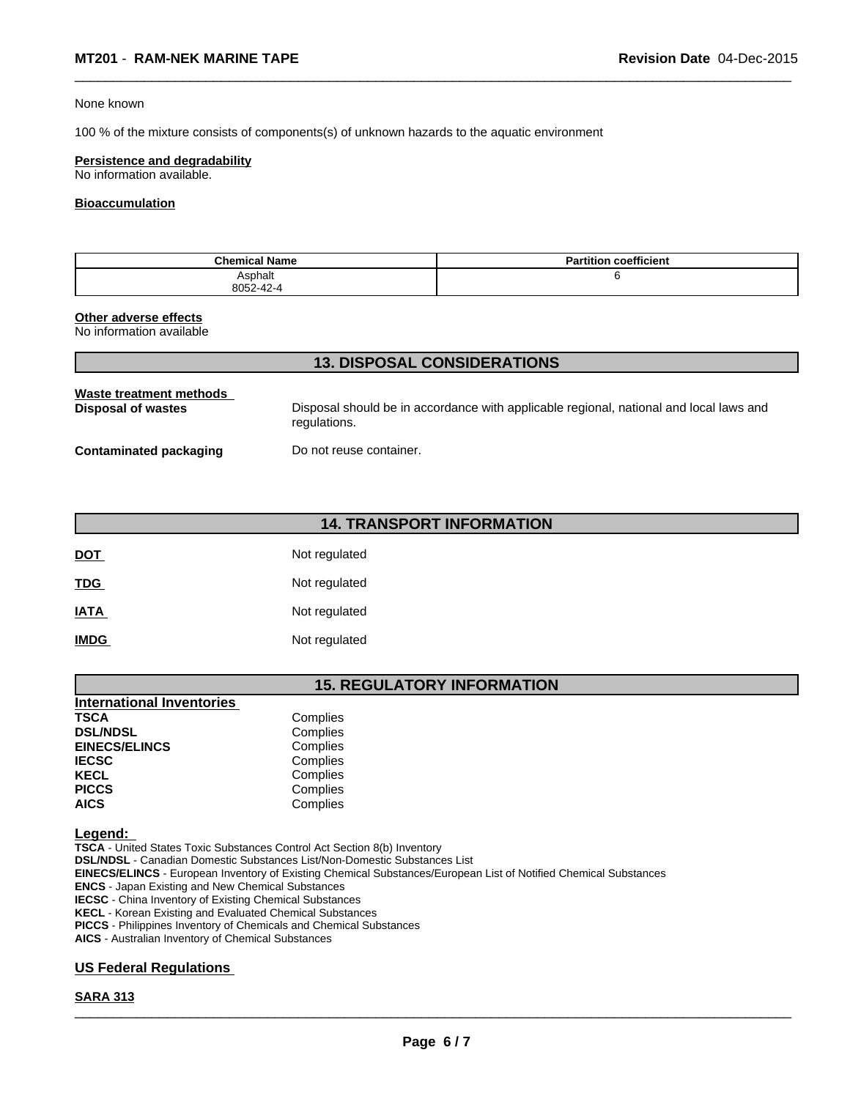#### None known

100 % of the mixture consists of components(s) of unknown hazards to the aquatic environment

#### **Persistence and degradability**

No information available.

#### **Bioaccumulation**

| <b>Chemical Name</b> | coefficient<br><b>Partition</b> |
|----------------------|---------------------------------|
| Asphalt              |                                 |
| 8052-42-4            |                                 |

 $\overline{\phantom{a}}$  ,  $\overline{\phantom{a}}$  ,  $\overline{\phantom{a}}$  ,  $\overline{\phantom{a}}$  ,  $\overline{\phantom{a}}$  ,  $\overline{\phantom{a}}$  ,  $\overline{\phantom{a}}$  ,  $\overline{\phantom{a}}$  ,  $\overline{\phantom{a}}$  ,  $\overline{\phantom{a}}$  ,  $\overline{\phantom{a}}$  ,  $\overline{\phantom{a}}$  ,  $\overline{\phantom{a}}$  ,  $\overline{\phantom{a}}$  ,  $\overline{\phantom{a}}$  ,  $\overline{\phantom{a}}$ 

#### **Other adverse effects**

No information available

| <b>13. DISPOSAL CONSIDERATIONS</b>            |                                                                                                        |  |  |  |
|-----------------------------------------------|--------------------------------------------------------------------------------------------------------|--|--|--|
| Waste treatment methods<br>Disposal of wastes | Disposal should be in accordance with applicable regional, national and local laws and<br>regulations. |  |  |  |
| <b>Contaminated packaging</b>                 | Do not reuse container.                                                                                |  |  |  |

| <b>14. TRANSPORT INFORMATION</b> |
|----------------------------------|
|----------------------------------|

| <b>DOT</b>  | Not regulated |
|-------------|---------------|
| <b>TDG</b>  | Not regulated |
| <b>IATA</b> | Not regulated |
| <b>IMDG</b> | Not regulated |

#### **15. REGULATORY INFORMATION**

| <b>International Inventories</b> |          |
|----------------------------------|----------|
| <b>TSCA</b>                      | Complies |
| <b>DSL/NDSL</b>                  | Complies |
| <b>EINECS/ELINCS</b>             | Complies |
| <b>IECSC</b>                     | Complies |
| <b>KECL</b>                      | Complies |
| <b>PICCS</b>                     | Complies |
| <b>AICS</b>                      | Complies |

**Legend:** 

**TSCA** - United States Toxic Substances Control Act Section 8(b) Inventory

**DSL/NDSL** - Canadian Domestic Substances List/Non-Domestic Substances List

**EINECS/ELINCS** - European Inventory of Existing Chemical Substances/European List of Notified Chemical Substances

**ENCS** - Japan Existing and New Chemical Substances

**IECSC** - China Inventory of Existing Chemical Substances

**KECL** - Korean Existing and Evaluated Chemical Substances

**PICCS** - Philippines Inventory of Chemicals and Chemical Substances

**AICS** - Australian Inventory of Chemical Substances

#### **US Federal Regulations**